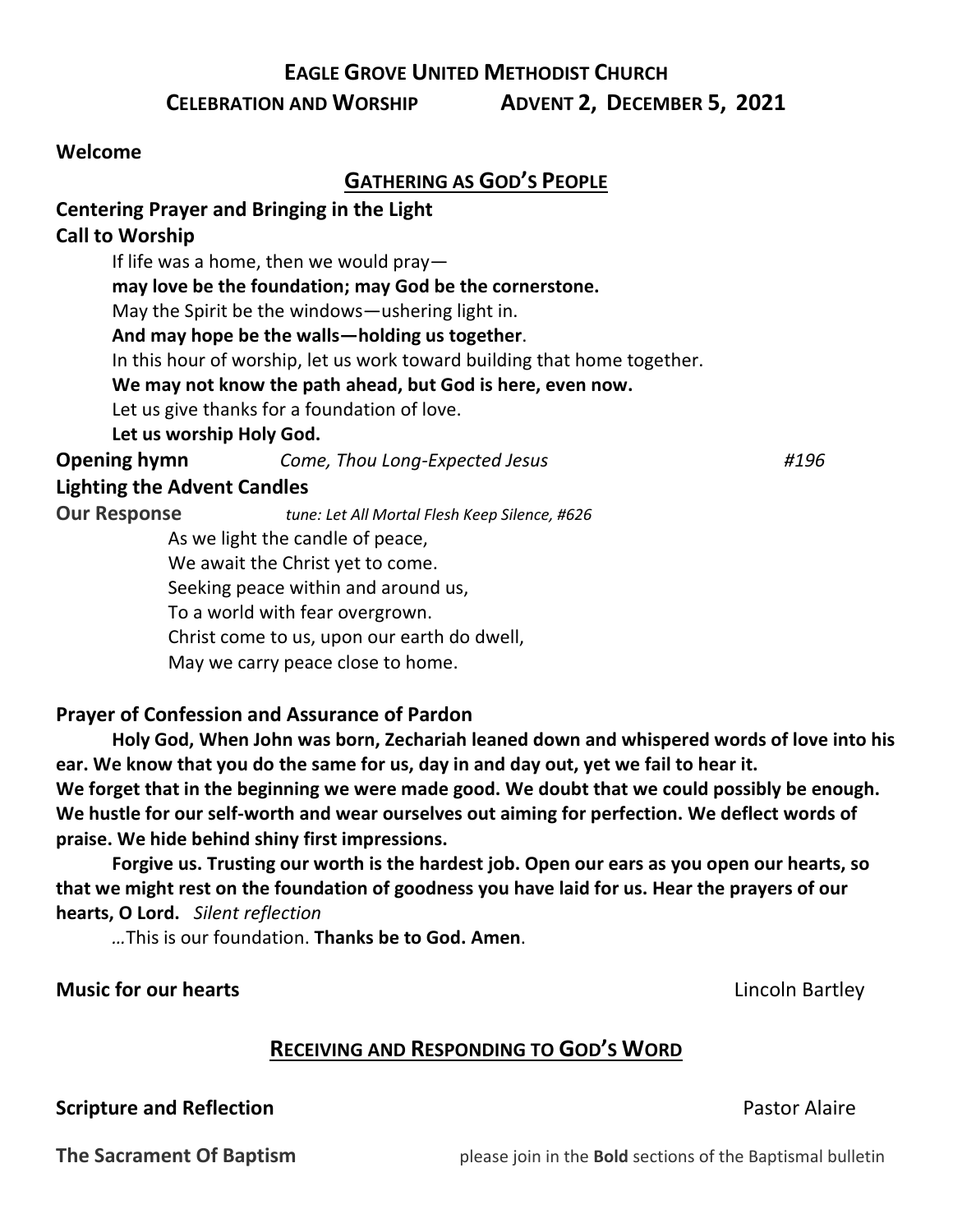### **EAGLE GROVE UNITED METHODIST CHURCH**

**CELEBRATION AND WORSHIP ADVENT 2, DECEMBER 5, 2021**

#### **Welcome**

### **GATHERING AS GOD'S PEOPLE**

### **Centering Prayer and Bringing in the Light**

### **Call to Worship**

If life was a home, then we would pray **may love be the foundation; may God be the cornerstone.** May the Spirit be the windows—ushering light in. **And may hope be the walls—holding us together**. In this hour of worship, let us work toward building that home together. **We may not know the path ahead, but God is here, even now.** Let us give thanks for a foundation of love. **Let us worship Holy God.**

**Opening hymn** *Come, Thou Long-Expected Jesus #196*

### **Lighting the Advent Candles**

**Our Response** *tune: Let All Mortal Flesh Keep Silence, #626* As we light the candle of peace,

We await the Christ yet to come.

Seeking peace within and around us,

To a world with fear overgrown.

Christ come to us, upon our earth do dwell,

May we carry peace close to home.

### **Prayer of Confession and Assurance of Pardon**

**Holy God, When John was born, Zechariah leaned down and whispered words of love into his ear. We know that you do the same for us, day in and day out, yet we fail to hear it. We forget that in the beginning we were made good. We doubt that we could possibly be enough. We hustle for our self-worth and wear ourselves out aiming for perfection. We deflect words of praise. We hide behind shiny first impressions.**

**Forgive us. Trusting our worth is the hardest job. Open our ears as you open our hearts, so that we might rest on the foundation of goodness you have laid for us. Hear the prayers of our hearts, O Lord.** *Silent reflection* 

*…*This is our foundation. **Thanks be to God. Amen**.

### **Music for our hearts** *Music for our hearts Lincoln Bartley*

### **RECEIVING AND RESPONDING TO GOD'S WORD**

### **Scripture and Reflection Pastor Alaire** Pastor Alaire

**The Sacrament Of Baptism** *please join in the Bold sections of the Baptismal bulletin*